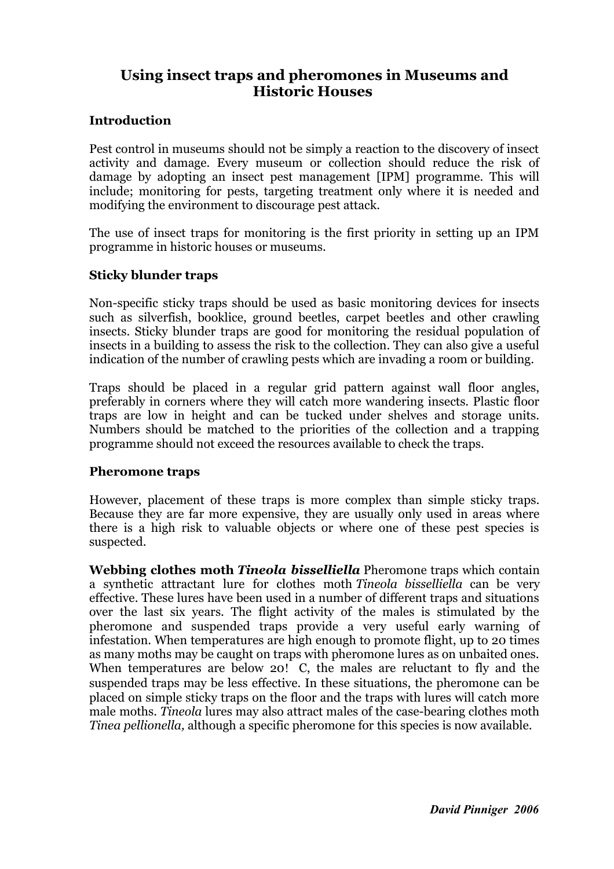# **Using insect traps and pheromones in Museums and Historic Houses**

#### **Introduction**

Pest control in museums should not be simply a reaction to the discovery of insect activity and damage. Every museum or collection should reduce the risk of damage by adopting an insect pest management [IPM] programme. This will include; monitoring for pests, targeting treatment only where it is needed and modifying the environment to discourage pest attack.

The use of insect traps for monitoring is the first priority in setting up an IPM programme in historic houses or museums.

#### **Sticky blunder traps**

Non-specific sticky traps should be used as basic monitoring devices for insects such as silverfish, booklice, ground beetles, carpet beetles and other crawling insects. Sticky blunder traps are good for monitoring the residual population of insects in a building to assess the risk to the collection. They can also give a useful indication of the number of crawling pests which are invading a room or building.

Traps should be placed in a regular grid pattern against wall floor angles, preferably in corners where they will catch more wandering insects. Plastic floor traps are low in height and can be tucked under shelves and storage units. Numbers should be matched to the priorities of the collection and a trapping programme should not exceed the resources available to check the traps.

#### **Pheromone traps**

However, placement of these traps is more complex than simple sticky traps. Because they are far more expensive, they are usually only used in areas where there is a high risk to valuable objects or where one of these pest species is suspected.

**Webbing clothes moth** *Tineola bisselliella* Pheromone traps which contain a synthetic attractant lure for clothes moth *Tineola bisselliella* can be very effective. These lures have been used in a number of different traps and situations over the last six years. The flight activity of the males is stimulated by the pheromone and suspended traps provide a very useful early warning of infestation. When temperatures are high enough to promote flight, up to 20 times as many moths may be caught on traps with pheromone lures as on unbaited ones. When temperatures are below 20! C, the males are reluctant to fly and the suspended traps may be less effective. In these situations, the pheromone can be placed on simple sticky traps on the floor and the traps with lures will catch more male moths. *Tineola* lures may also attract males of the case-bearing clothes moth *Tinea pellionella,* although a specific pheromone for this species is now available.